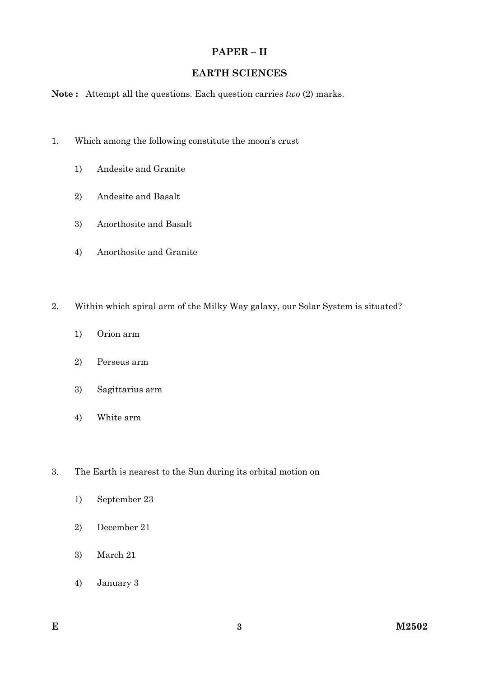## **PAPER – II**

## **EARTH SCIENCES**

**Note :** Attempt all the questions. Each question carries *two* (2) marks.

- 1. Which among the following constitute the moon's crust
	- 1) Andesite and Granite
	- 2) Andesite and Basalt
	- 3) Anorthosite and Basalt
	- 4) Anorthosite and Granite
- 2. Within which spiral arm of the Milky Way galaxy, our Solar System is situated?
	- 1) Orion arm
	- 2) Perseus arm
	- 3) Sagittarius arm
	- 4) White arm
- 3. The Earth is nearest to the Sun during its orbital motion on
	- 1) September 23
	- 2) December 21
	- 3) March 21
	- 4) January 3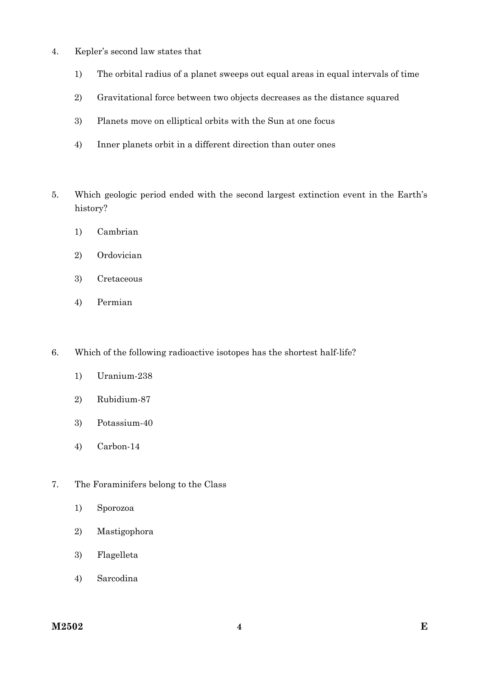- 4. Kepler's second law states that
	- 1) The orbital radius of a planet sweeps out equal areas in equal intervals of time
	- 2) Gravitational force between two objects decreases as the distance squared
	- 3) Planets move on elliptical orbits with the Sun at one focus
	- 4) Inner planets orbit in a different direction than outer ones
- 5. Which geologic period ended with the second largest extinction event in the Earth's history?
	- 1) Cambrian
	- 2) Ordovician
	- 3) Cretaceous
	- 4) Permian
- 6. Which of the following radioactive isotopes has the shortest half-life?
	- 1) Uranium-238
	- 2) Rubidium-87
	- 3) Potassium-40
	- 4) Carbon-14
- 7. The Foraminifers belong to the Class
	- 1) Sporozoa
	- 2) Mastigophora
	- 3) Flagelleta
	- 4) Sarcodina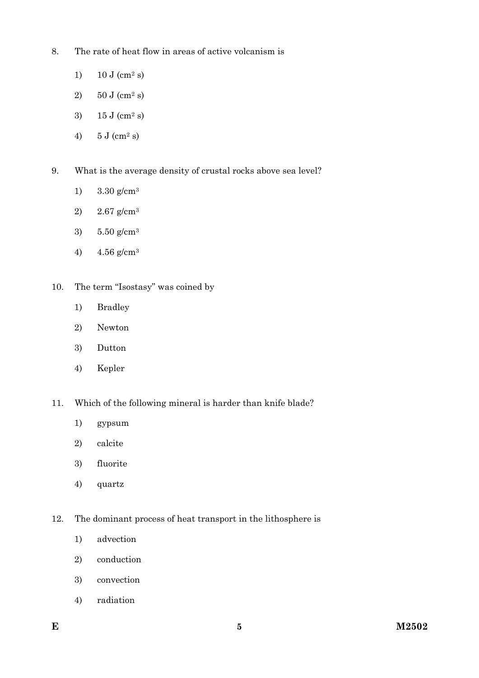- 8. The rate of heat flow in areas of active volcanism is
	- 1)  $10 \text{ J (cm}^2 \text{ s)}$
	- 2)  $50 \text{ J (cm}^2 \text{ s)}$
	- 3)  $15 \text{ J (cm}^2 \text{ s)}$
	- 4)  $5 \text{ J (cm}^2 \text{ s)}$
- 9. What is the average density of crustal rocks above sea level?
	- 1) 3.30 g/cm3
	- 2) 2.67 g/cm3
	- 3) 5.50 g/cm3
	- 4)  $4.56$  g/cm<sup>3</sup>
- 10. The term "Isostasy" was coined by
	- 1) Bradley
	- 2) Newton
	- 3) Dutton
	- 4) Kepler
- 11. Which of the following mineral is harder than knife blade?
	- 1) gypsum
	- 2) calcite
	- 3) fluorite
	- 4) quartz
- 12. The dominant process of heat transport in the lithosphere is
	- 1) advection
	- 2) conduction
	- 3) convection
	- 4) radiation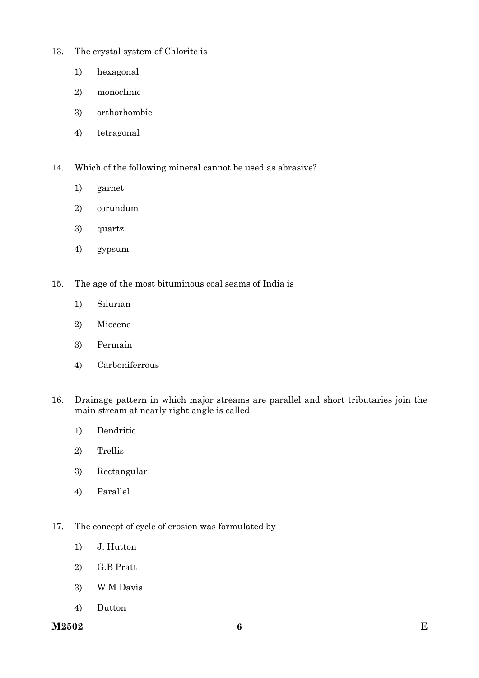- 13. The crystal system of Chlorite is
	- 1) hexagonal
	- 2) monoclinic
	- 3) orthorhombic
	- 4) tetragonal
- 14. Which of the following mineral cannot be used as abrasive?
	- 1) garnet
	- 2) corundum
	- 3) quartz
	- 4) gypsum
- 15. The age of the most bituminous coal seams of India is
	- 1) Silurian
	- 2) Miocene
	- 3) Permain
	- 4) Carboniferrous
- 16. Drainage pattern in which major streams are parallel and short tributaries join the main stream at nearly right angle is called
	- 1) Dendritic
	- 2) Trellis
	- 3) Rectangular
	- 4) Parallel
- 17. The concept of cycle of erosion was formulated by
	- 1) J. Hutton
	- 2) G.B Pratt
	- 3) W.M Davis
	- 4) Dutton

**M2502 E 6**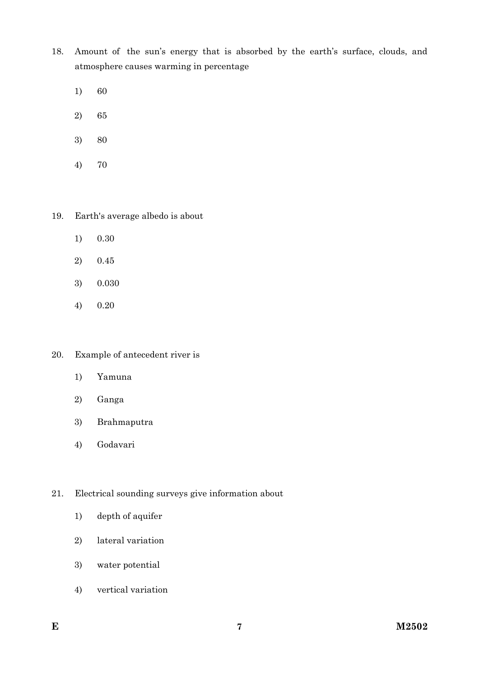- 18. Amount of the sun's energy that is absorbed by the earth's surface, clouds, and atmosphere causes warming in percentage
	- 1) 60
	- 2) 65
	- 3) 80
	- 4) 70
- 19. Earth's average albedo is about
	- 1) 0.30
	- 2) 0.45
	- 3) 0.030
	- 4) 0.20
- 20. Example of antecedent river is
	- 1) Yamuna
	- 2) Ganga
	- 3) Brahmaputra
	- 4) Godavari
- 21. Electrical sounding surveys give information about
	- 1) depth of aquifer
	- 2) lateral variation
	- 3) water potential
	- 4) vertical variation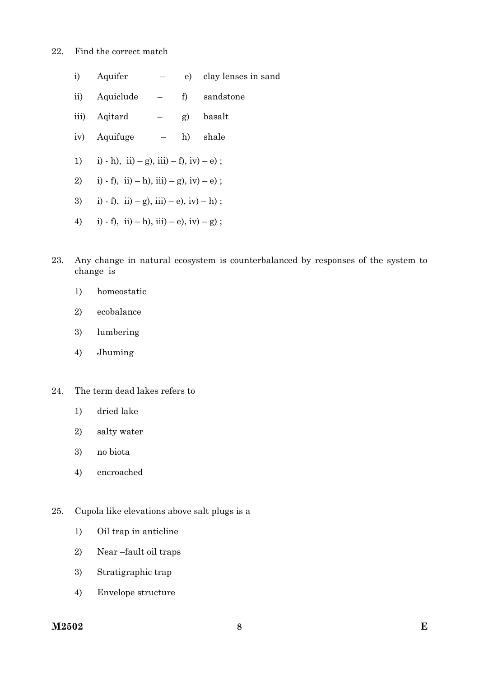- 22. Find the correct match
	- i) Aquifer e) clay lenses in sand
	- ii) Aquiclude f) sandstone
	- iii) Aqitard g) basalt
	- iv) Aquifuge h) shale
	- 1) i) h), ii) g), iii) f), iv) e);
	- 2) i) f), ii) h), iii) g), iv) e);
	- 3) i) f), ii) g), iii) e), iv) h);
	- 4) i) f), ii) h), iii) e), iv) g);
- 23. Any change in natural ecosystem is counterbalanced by responses of the system to change is
	- 1) homeostatic
	- 2) ecobalance
	- 3) lumbering
	- 4) Jhuming
- 24. The term dead lakes refers to
	- 1) dried lake
	- 2) salty water
	- 3) no biota
	- 4) encroached

25. Cupola like elevations above salt plugs is a

- 1) Oil trap in anticline
- 2) Near –fault oil traps
- 3) Stratigraphic trap
- 4) Envelope structure

**M2502 E 8**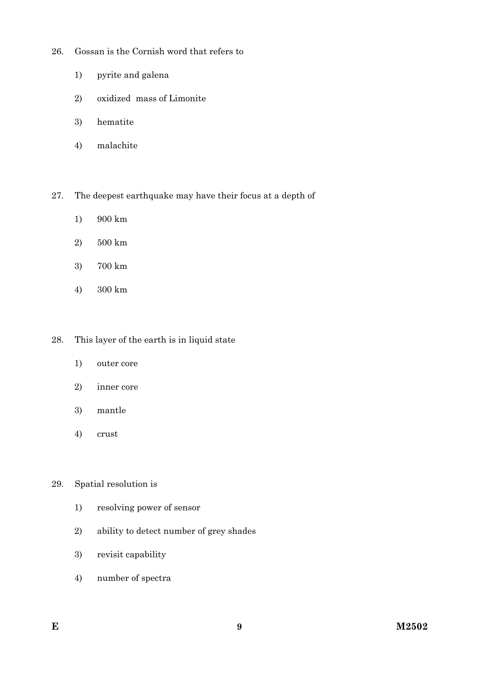- 26. Gossan is the Cornish word that refers to
	- 1) pyrite and galena
	- 2) oxidized mass of Limonite
	- 3) hematite
	- 4) malachite

27. The deepest earthquake may have their focus at a depth of

- 1) 900 km
- 2) 500 km
- 3) 700 km
- 4) 300 km

### 28. This layer of the earth is in liquid state

- 1) outer core
- 2) inner core
- 3) mantle
- 4) crust

### 29. Spatial resolution is

- 1) resolving power of sensor
- 2) ability to detect number of grey shades
- 3) revisit capability
- 4) number of spectra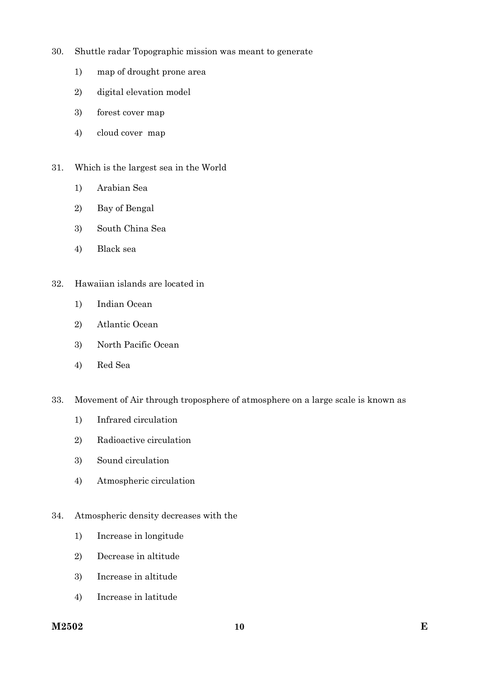- 30. Shuttle radar Topographic mission was meant to generate
	- 1) map of drought prone area
	- 2) digital elevation model
	- 3) forest cover map
	- 4) cloud cover map
- 31. Which is the largest sea in the World
	- 1) Arabian Sea
	- 2) Bay of Bengal
	- 3) South China Sea
	- 4) Black sea

#### 32. Hawaiian islands are located in

- 1) Indian Ocean
- 2) Atlantic Ocean
- 3) North Pacific Ocean
- 4) Red Sea

#### 33. Movement of Air through troposphere of atmosphere on a large scale is known as

- 1) Infrared circulation
- 2) Radioactive circulation
- 3) Sound circulation
- 4) Atmospheric circulation
- 34. Atmospheric density decreases with the
	- 1) Increase in longitude
	- 2) Decrease in altitude
	- 3) Increase in altitude
	- 4) Increase in latitude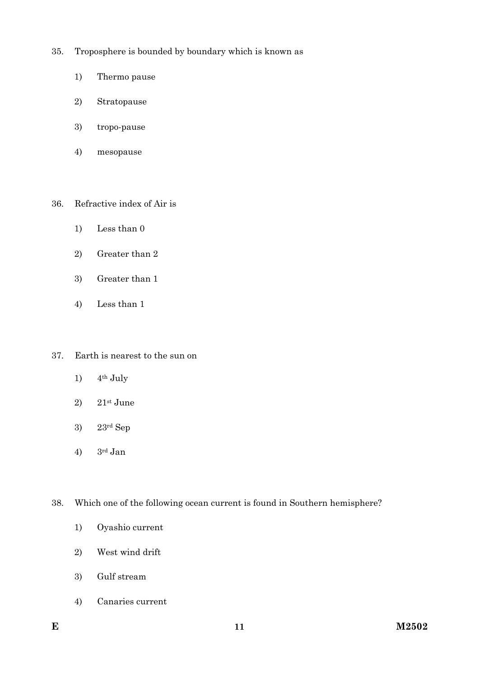- 35. Troposphere is bounded by boundary which is known as
	- 1) Thermo pause
	- 2) Stratopause
	- 3) tropo-pause
	- 4) mesopause
- 36. Refractive index of Air is
	- 1) Less than 0
	- 2) Greater than 2
	- 3) Greater than 1
	- 4) Less than 1
- 37. Earth is nearest to the sun on
	- 1)  $4<sup>th</sup>$  July
	- 2)  $21$ <sup>st</sup> June
	- 3) 23rd Sep
	- 4) 3rd Jan

38. Which one of the following ocean current is found in Southern hemisphere?

- 1) Oyashio current
- 2) West wind drift
- 3) Gulf stream
- 4) Canaries current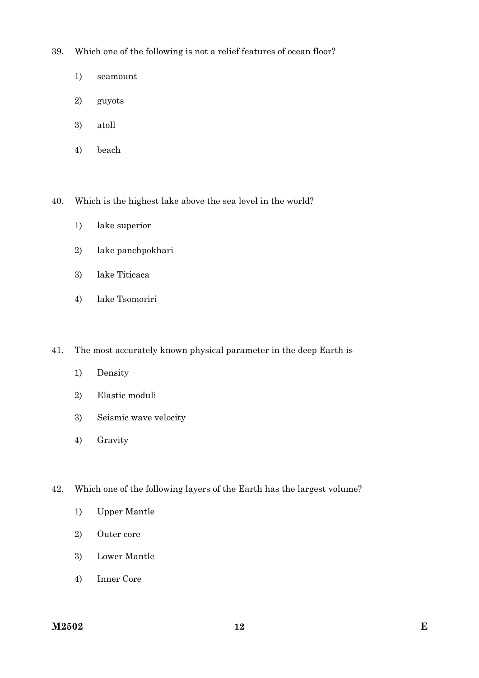39. Which one of the following is not a relief features of ocean floor?

- 1) seamount
- 2) guyots
- 3) atoll
- 4) beach

40. Which is the highest lake above the sea level in the world?

- 1) lake superior
- 2) lake panchpokhari
- 3) lake Titicaca
- 4) lake Tsomoriri

41. The most accurately known physical parameter in the deep Earth is

- 1) Density
- 2) Elastic moduli
- 3) Seismic wave velocity
- 4) Gravity
- 42. Which one of the following layers of the Earth has the largest volume?
	- 1) Upper Mantle
	- 2) Outer core
	- 3) Lower Mantle
	- 4) Inner Core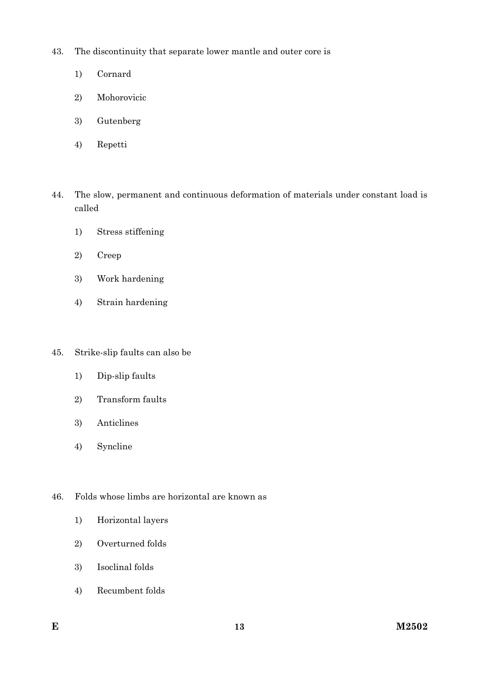43. The discontinuity that separate lower mantle and outer core is

- 1) Cornard
- 2) Mohorovicic
- 3) Gutenberg
- 4) Repetti
- 44. The slow, permanent and continuous deformation of materials under constant load is called
	- 1) Stress stiffening
	- 2) Creep
	- 3) Work hardening
	- 4) Strain hardening
- 45. Strike-slip faults can also be
	- 1) Dip-slip faults
	- 2) Transform faults
	- 3) Anticlines
	- 4) Syncline
- 46. Folds whose limbs are horizontal are known as
	- 1) Horizontal layers
	- 2) Overturned folds
	- 3) Isoclinal folds
	- 4) Recumbent folds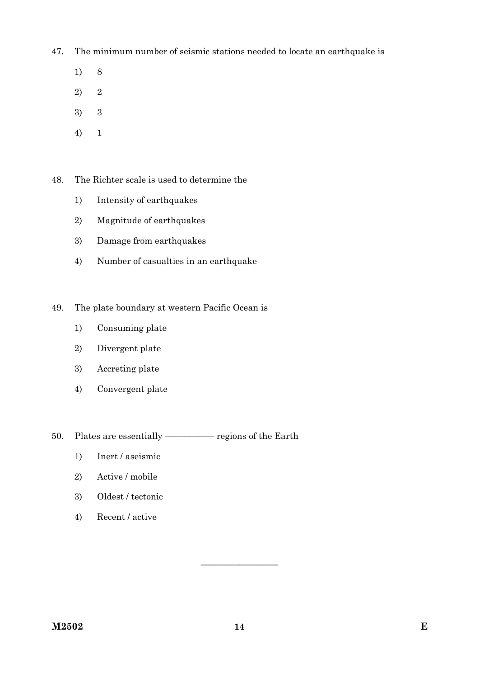47. The minimum number of seismic stations needed to locate an earthquake is

- 1) 8
- 2) 2
- 3) 3
- 4) 1

48. The Richter scale is used to determine the

- 1) Intensity of earthquakes
- 2) Magnitude of earthquakes
- 3) Damage from earthquakes
- 4) Number of casualties in an earthquake
- 49. The plate boundary at western Pacific Ocean is
	- 1) Consuming plate
	- 2) Divergent plate
	- 3) Accreting plate
	- 4) Convergent plate

50. Plates are essentially –––––––––– regions of the Earth

- 1) Inert / aseismic
- 2) Active / mobile
- 3) Oldest / tectonic
- 4) Recent / active

————————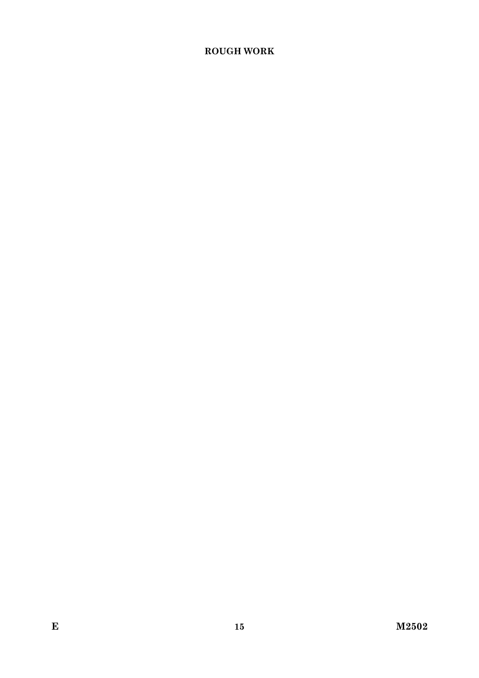# **ROUGH WORK**